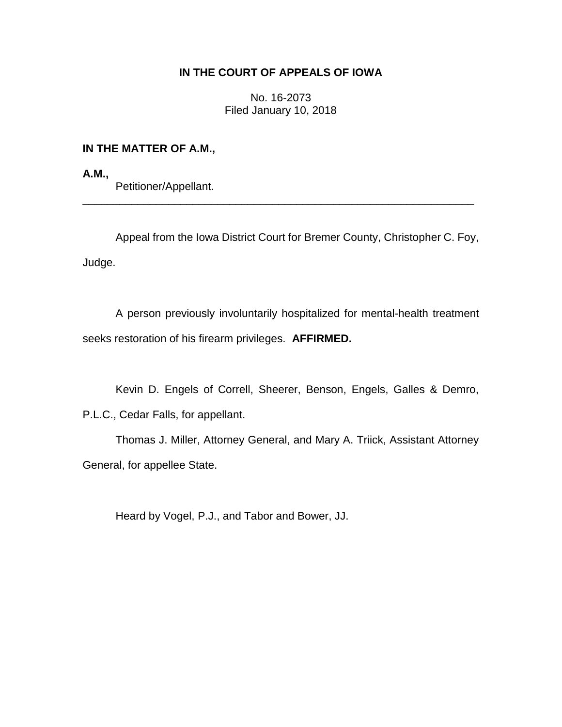# **IN THE COURT OF APPEALS OF IOWA**

No. 16-2073 Filed January 10, 2018

## **IN THE MATTER OF A.M.,**

**A.M.,** Petitioner/Appellant.

Appeal from the Iowa District Court for Bremer County, Christopher C. Foy, Judge.

\_\_\_\_\_\_\_\_\_\_\_\_\_\_\_\_\_\_\_\_\_\_\_\_\_\_\_\_\_\_\_\_\_\_\_\_\_\_\_\_\_\_\_\_\_\_\_\_\_\_\_\_\_\_\_\_\_\_\_\_\_\_\_\_

A person previously involuntarily hospitalized for mental-health treatment seeks restoration of his firearm privileges. **AFFIRMED.**

Kevin D. Engels of Correll, Sheerer, Benson, Engels, Galles & Demro,

P.L.C., Cedar Falls, for appellant.

Thomas J. Miller, Attorney General, and Mary A. Triick, Assistant Attorney General, for appellee State.

Heard by Vogel, P.J., and Tabor and Bower, JJ.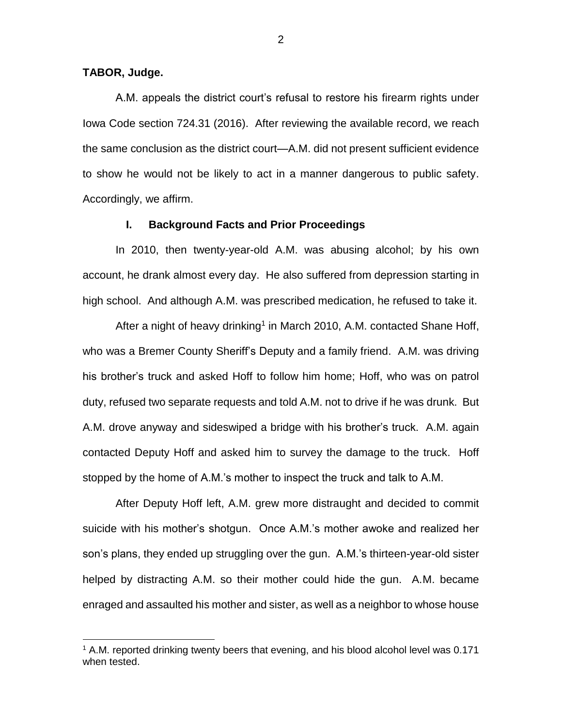## **TABOR, Judge.**

 $\overline{a}$ 

A.M. appeals the district court's refusal to restore his firearm rights under Iowa Code section 724.31 (2016). After reviewing the available record, we reach the same conclusion as the district court—A.M. did not present sufficient evidence to show he would not be likely to act in a manner dangerous to public safety. Accordingly, we affirm.

## **I. Background Facts and Prior Proceedings**

In 2010, then twenty-year-old A.M. was abusing alcohol; by his own account, he drank almost every day. He also suffered from depression starting in high school. And although A.M. was prescribed medication, he refused to take it.

After a night of heavy drinking<sup>1</sup> in March 2010, A.M. contacted Shane Hoff, who was a Bremer County Sheriff's Deputy and a family friend. A.M. was driving his brother's truck and asked Hoff to follow him home; Hoff, who was on patrol duty, refused two separate requests and told A.M. not to drive if he was drunk. But A.M. drove anyway and sideswiped a bridge with his brother's truck. A.M. again contacted Deputy Hoff and asked him to survey the damage to the truck. Hoff stopped by the home of A.M.'s mother to inspect the truck and talk to A.M.

After Deputy Hoff left, A.M. grew more distraught and decided to commit suicide with his mother's shotgun. Once A.M.'s mother awoke and realized her son's plans, they ended up struggling over the gun. A.M.'s thirteen-year-old sister helped by distracting A.M. so their mother could hide the gun. A.M. became enraged and assaulted his mother and sister, as well as a neighbor to whose house

<sup>&</sup>lt;sup>1</sup> A.M. reported drinking twenty beers that evening, and his blood alcohol level was 0.171 when tested.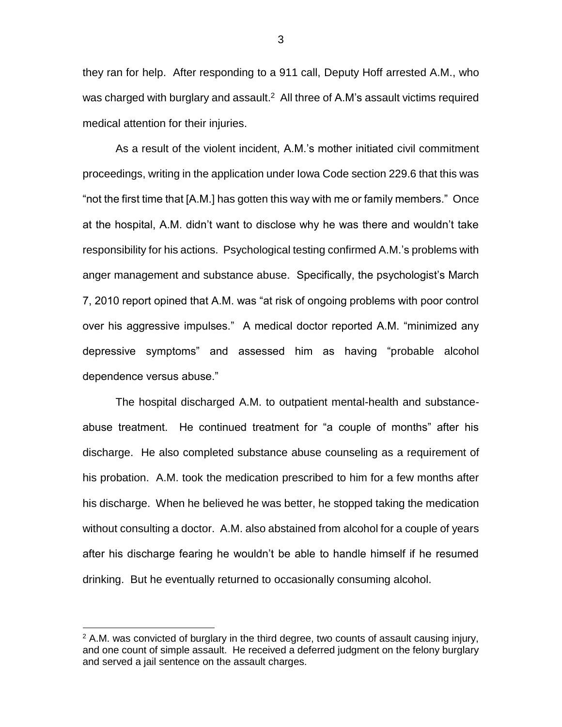they ran for help. After responding to a 911 call, Deputy Hoff arrested A.M., who was charged with burglary and assault.<sup>2</sup> All three of A.M's assault victims required medical attention for their injuries.

As a result of the violent incident, A.M.'s mother initiated civil commitment proceedings, writing in the application under Iowa Code section 229.6 that this was "not the first time that [A.M.] has gotten this way with me or family members." Once at the hospital, A.M. didn't want to disclose why he was there and wouldn't take responsibility for his actions. Psychological testing confirmed A.M.'s problems with anger management and substance abuse. Specifically, the psychologist's March 7, 2010 report opined that A.M. was "at risk of ongoing problems with poor control over his aggressive impulses." A medical doctor reported A.M. "minimized any depressive symptoms" and assessed him as having "probable alcohol dependence versus abuse."

The hospital discharged A.M. to outpatient mental-health and substanceabuse treatment. He continued treatment for "a couple of months" after his discharge. He also completed substance abuse counseling as a requirement of his probation. A.M. took the medication prescribed to him for a few months after his discharge. When he believed he was better, he stopped taking the medication without consulting a doctor. A.M. also abstained from alcohol for a couple of years after his discharge fearing he wouldn't be able to handle himself if he resumed drinking. But he eventually returned to occasionally consuming alcohol.

 $\overline{a}$ 

3

 $2$  A.M. was convicted of burglary in the third degree, two counts of assault causing injury, and one count of simple assault. He received a deferred judgment on the felony burglary and served a jail sentence on the assault charges.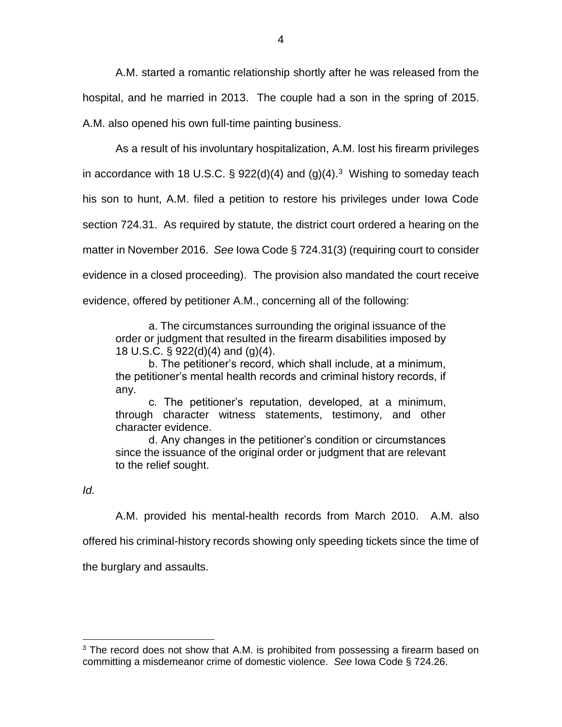A.M. started a romantic relationship shortly after he was released from the hospital, and he married in 2013. The couple had a son in the spring of 2015. A.M. also opened his own full-time painting business.

As a result of his involuntary hospitalization, A.M. lost his firearm privileges in accordance with 18 U.S.C.  $\S$  922(d)(4) and (g)(4).<sup>3</sup> Wishing to someday teach his son to hunt, A.M. filed a petition to restore his privileges under Iowa Code section 724.31. As required by statute, the district court ordered a hearing on the matter in November 2016. *See* Iowa Code § 724.31(3) (requiring court to consider evidence in a closed proceeding). The provision also mandated the court receive evidence, offered by petitioner A.M., concerning all of the following:

a. The circumstances surrounding the original issuance of the order or judgment that resulted in the firearm disabilities imposed by 18 U.S.C. § 922(d)(4) and (g)(4).

b. The petitioner's record, which shall include, at a minimum, the petitioner's mental health records and criminal history records, if any.

c. The petitioner's reputation, developed, at a minimum, through character witness statements, testimony, and other character evidence.

d. Any changes in the petitioner's condition or circumstances since the issuance of the original order or judgment that are relevant to the relief sought.

## *Id.*

 $\overline{a}$ 

A.M. provided his mental-health records from March 2010. A.M. also

offered his criminal-history records showing only speeding tickets since the time of

the burglary and assaults.

 $3$  The record does not show that A.M. is prohibited from possessing a firearm based on committing a misdemeanor crime of domestic violence. *See* Iowa Code § 724.26.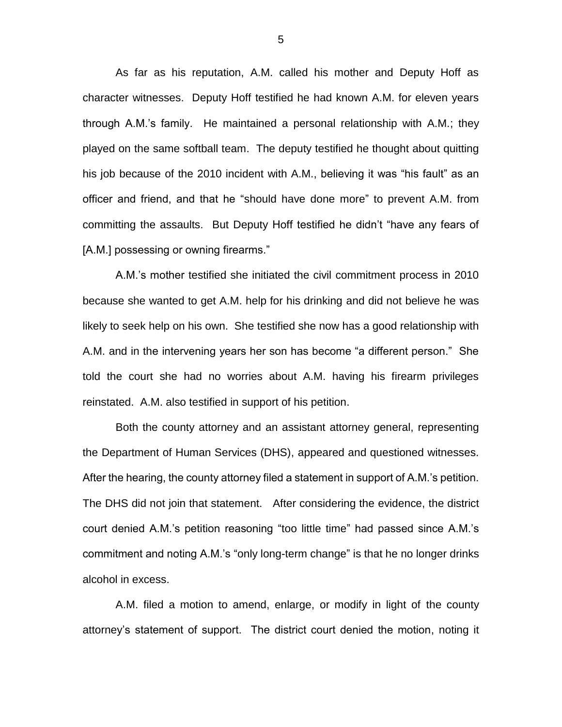As far as his reputation, A.M. called his mother and Deputy Hoff as character witnesses. Deputy Hoff testified he had known A.M. for eleven years through A.M.'s family. He maintained a personal relationship with A.M.; they played on the same softball team. The deputy testified he thought about quitting his job because of the 2010 incident with A.M., believing it was "his fault" as an officer and friend, and that he "should have done more" to prevent A.M. from committing the assaults. But Deputy Hoff testified he didn't "have any fears of [A.M.] possessing or owning firearms."

A.M.'s mother testified she initiated the civil commitment process in 2010 because she wanted to get A.M. help for his drinking and did not believe he was likely to seek help on his own. She testified she now has a good relationship with A.M. and in the intervening years her son has become "a different person." She told the court she had no worries about A.M. having his firearm privileges reinstated. A.M. also testified in support of his petition.

Both the county attorney and an assistant attorney general, representing the Department of Human Services (DHS), appeared and questioned witnesses. After the hearing, the county attorney filed a statement in support of A.M.'s petition. The DHS did not join that statement. After considering the evidence, the district court denied A.M.'s petition reasoning "too little time" had passed since A.M.'s commitment and noting A.M.'s "only long-term change" is that he no longer drinks alcohol in excess.

A.M. filed a motion to amend, enlarge, or modify in light of the county attorney's statement of support. The district court denied the motion, noting it

5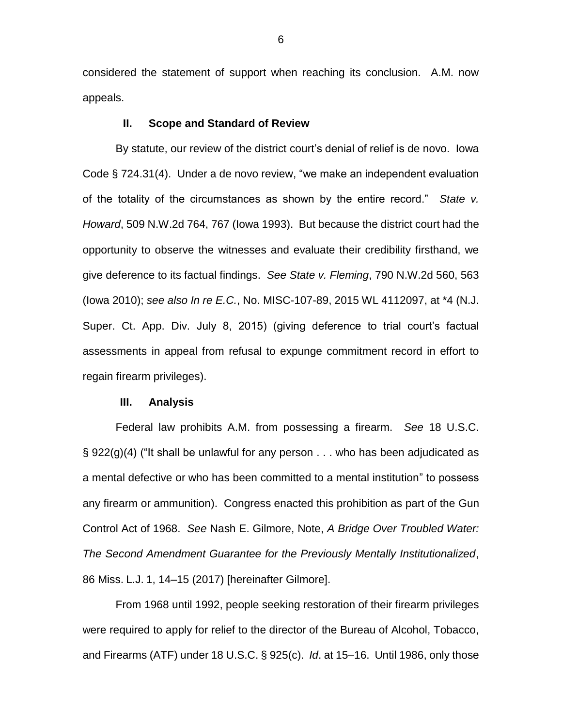considered the statement of support when reaching its conclusion. A.M. now appeals.

## **II. Scope and Standard of Review**

By statute, our review of the district court's denial of relief is de novo. Iowa Code § 724.31(4). Under a de novo review, "we make an independent evaluation of the totality of the circumstances as shown by the entire record." *State v. Howard*, 509 N.W.2d 764, 767 (Iowa 1993). But because the district court had the opportunity to observe the witnesses and evaluate their credibility firsthand, we give deference to its factual findings. *See State v. Fleming*, 790 N.W.2d 560, 563 (Iowa 2010); *see also In re E.C.*, No. MISC-107-89, 2015 WL 4112097, at \*4 (N.J. Super. Ct. App. Div. July 8, 2015) (giving deference to trial court's factual assessments in appeal from refusal to expunge commitment record in effort to regain firearm privileges).

### **III. Analysis**

Federal law prohibits A.M. from possessing a firearm. *See* 18 U.S.C.  $\S$  922(g)(4) ("It shall be unlawful for any person . . . who has been adjudicated as a mental defective or who has been committed to a mental institution" to possess any firearm or ammunition). Congress enacted this prohibition as part of the Gun Control Act of 1968. *See* Nash E. Gilmore, Note, *A Bridge Over Troubled Water: The Second Amendment Guarantee for the Previously Mentally Institutionalized*, 86 Miss. L.J. 1, 14–15 (2017) [hereinafter Gilmore].

From 1968 until 1992, people seeking restoration of their firearm privileges were required to apply for relief to the director of the Bureau of Alcohol, Tobacco, and Firearms (ATF) under 18 U.S.C. § 925(c). *Id*. at 15–16. Until 1986, only those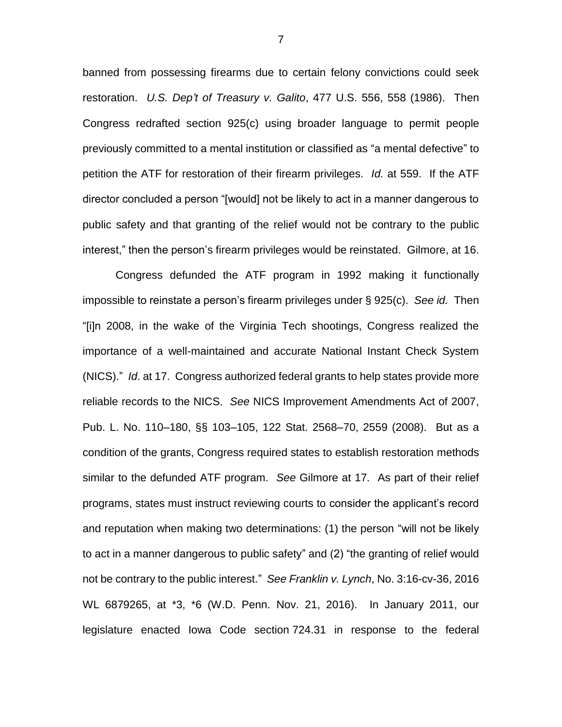banned from possessing firearms due to certain felony convictions could seek restoration. *U.S. Dep't of Treasury v. Galito*, 477 U.S. 556, 558 (1986). Then Congress redrafted section 925(c) using broader language to permit people previously committed to a mental institution or classified as "a mental defective" to petition the ATF for restoration of their firearm privileges. *Id.* at 559. If the ATF director concluded a person "[would] not be likely to act in a manner dangerous to public safety and that granting of the relief would not be contrary to the public interest," then the person's firearm privileges would be reinstated. Gilmore, at 16.

Congress defunded the ATF program in 1992 making it functionally impossible to reinstate a person's firearm privileges under § 925(c). *See id.* Then "[i]n 2008, in the wake of the Virginia Tech shootings, Congress realized the importance of a well-maintained and accurate National Instant Check System (NICS)." *Id*. at 17. Congress authorized federal grants to help states provide more reliable records to the NICS. *See* NICS Improvement Amendments Act of 2007, Pub. L. No. 110–180, §§ 103–105, 122 Stat. 2568–70, 2559 (2008). But as a condition of the grants, Congress required states to establish restoration methods similar to the defunded ATF program. *See* Gilmore at 17*.* As part of their relief programs, states must instruct reviewing courts to consider the applicant's record and reputation when making two determinations: (1) the person "will not be likely to act in a manner dangerous to public safety" and (2) "the granting of relief would not be contrary to the public interest." *See Franklin v. Lynch*, No. 3:16-cv-36, 2016 WL 6879265, at \*3, \*6 (W.D. Penn. Nov. 21, 2016). In January 2011, our legislature enacted Iowa Code section 724.31 in response to the federal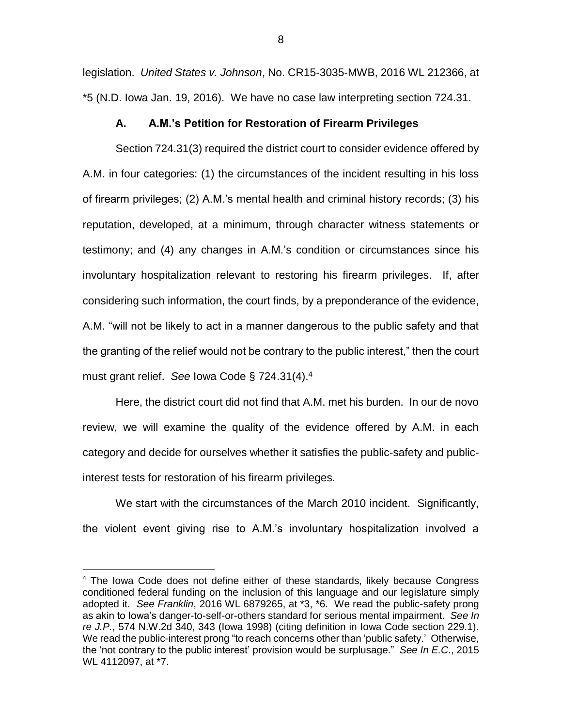legislation. *United States v. Johnson*, No. CR15-3035-MWB, 2016 WL 212366, at \*5 (N.D. Iowa Jan. 19, 2016). We have no case law interpreting section 724.31.

### **A. A.M.'s Petition for Restoration of Firearm Privileges**

Section 724.31(3) required the district court to consider evidence offered by A.M. in four categories: (1) the circumstances of the incident resulting in his loss of firearm privileges; (2) A.M.'s mental health and criminal history records; (3) his reputation, developed, at a minimum, through character witness statements or testimony; and (4) any changes in A.M.'s condition or circumstances since his involuntary hospitalization relevant to restoring his firearm privileges. If, after considering such information, the court finds, by a preponderance of the evidence, A.M. "will not be likely to act in a manner dangerous to the public safety and that the granting of the relief would not be contrary to the public interest," then the court must grant relief. *See* Iowa Code § 724.31(4).<sup>4</sup>

Here, the district court did not find that A.M. met his burden. In our de novo review, we will examine the quality of the evidence offered by A.M. in each category and decide for ourselves whether it satisfies the public-safety and publicinterest tests for restoration of his firearm privileges.

We start with the circumstances of the March 2010 incident. Significantly, the violent event giving rise to A.M.'s involuntary hospitalization involved a

 $\overline{a}$ 

<sup>&</sup>lt;sup>4</sup> The Iowa Code does not define either of these standards, likely because Congress conditioned federal funding on the inclusion of this language and our legislature simply adopted it. *See Franklin*, 2016 WL 6879265, at \*3, \*6. We read the public-safety prong as akin to Iowa's danger-to-self-or-others standard for serious mental impairment. *See In re J.P.*, 574 N.W.2d 340, 343 (Iowa 1998) (citing definition in Iowa Code section 229.1). We read the public-interest prong "to reach concerns other than 'public safety.' Otherwise, the 'not contrary to the public interest' provision would be surplusage." *See In E.C*., 2015 WL 4112097, at \*7.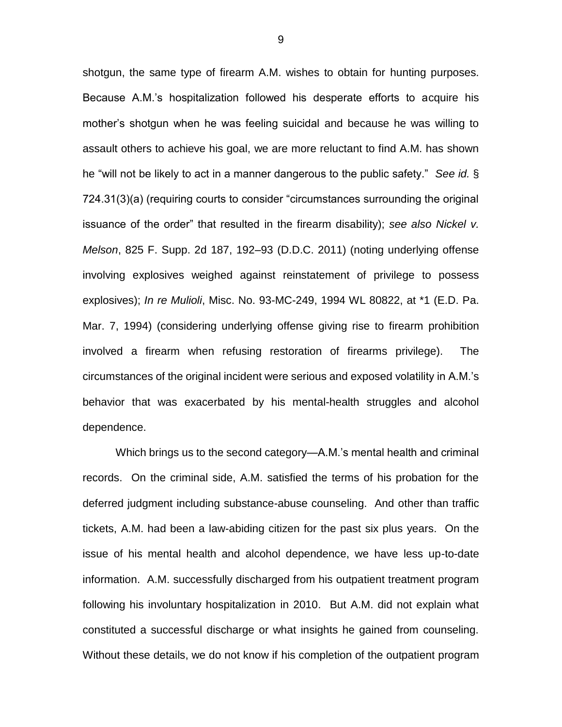shotgun, the same type of firearm A.M. wishes to obtain for hunting purposes. Because A.M.'s hospitalization followed his desperate efforts to acquire his mother's shotgun when he was feeling suicidal and because he was willing to assault others to achieve his goal, we are more reluctant to find A.M. has shown he "will not be likely to act in a manner dangerous to the public safety." *See id.* § 724.31(3)(a) (requiring courts to consider "circumstances surrounding the original issuance of the order" that resulted in the firearm disability); *see also Nickel v. Melson*, 825 F. Supp. 2d 187, 192–93 (D.D.C. 2011) (noting underlying offense involving explosives weighed against reinstatement of privilege to possess explosives); *In re Mulioli*, Misc. No. 93-MC-249, 1994 WL 80822, at \*1 (E.D. Pa. Mar. 7, 1994) (considering underlying offense giving rise to firearm prohibition involved a firearm when refusing restoration of firearms privilege). The circumstances of the original incident were serious and exposed volatility in A.M.'s behavior that was exacerbated by his mental-health struggles and alcohol dependence.

Which brings us to the second category—A.M.'s mental health and criminal records. On the criminal side, A.M. satisfied the terms of his probation for the deferred judgment including substance-abuse counseling. And other than traffic tickets, A.M. had been a law-abiding citizen for the past six plus years. On the issue of his mental health and alcohol dependence, we have less up-to-date information. A.M. successfully discharged from his outpatient treatment program following his involuntary hospitalization in 2010. But A.M. did not explain what constituted a successful discharge or what insights he gained from counseling. Without these details, we do not know if his completion of the outpatient program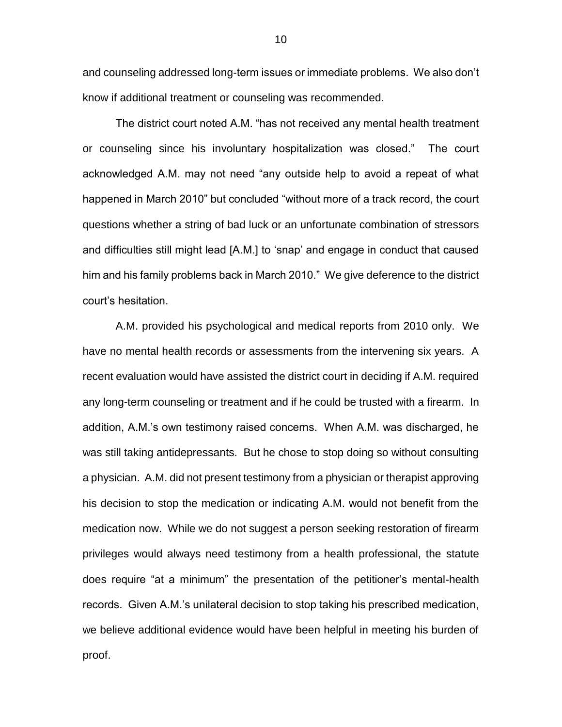and counseling addressed long-term issues or immediate problems. We also don't know if additional treatment or counseling was recommended.

The district court noted A.M. "has not received any mental health treatment or counseling since his involuntary hospitalization was closed." The court acknowledged A.M. may not need "any outside help to avoid a repeat of what happened in March 2010" but concluded "without more of a track record, the court questions whether a string of bad luck or an unfortunate combination of stressors and difficulties still might lead [A.M.] to 'snap' and engage in conduct that caused him and his family problems back in March 2010." We give deference to the district court's hesitation.

A.M. provided his psychological and medical reports from 2010 only. We have no mental health records or assessments from the intervening six years. A recent evaluation would have assisted the district court in deciding if A.M. required any long-term counseling or treatment and if he could be trusted with a firearm. In addition, A.M.'s own testimony raised concerns. When A.M. was discharged, he was still taking antidepressants. But he chose to stop doing so without consulting a physician. A.M. did not present testimony from a physician or therapist approving his decision to stop the medication or indicating A.M. would not benefit from the medication now. While we do not suggest a person seeking restoration of firearm privileges would always need testimony from a health professional, the statute does require "at a minimum" the presentation of the petitioner's mental-health records. Given A.M.'s unilateral decision to stop taking his prescribed medication, we believe additional evidence would have been helpful in meeting his burden of proof.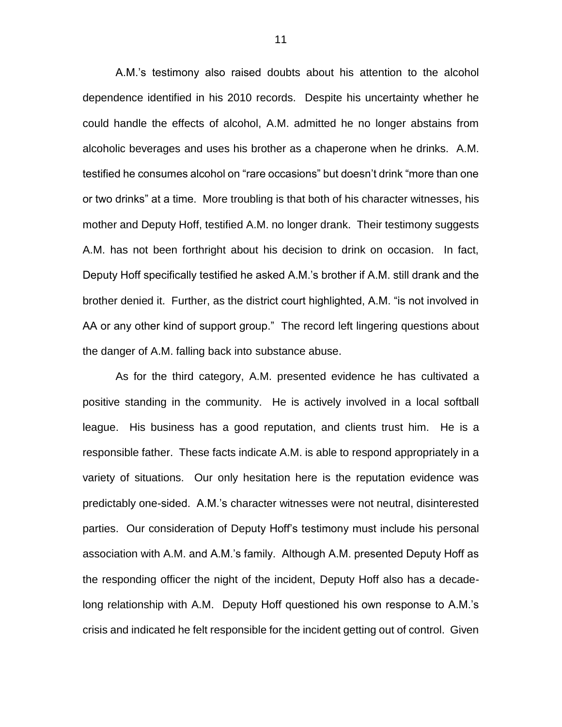A.M.'s testimony also raised doubts about his attention to the alcohol dependence identified in his 2010 records. Despite his uncertainty whether he could handle the effects of alcohol, A.M. admitted he no longer abstains from alcoholic beverages and uses his brother as a chaperone when he drinks. A.M. testified he consumes alcohol on "rare occasions" but doesn't drink "more than one or two drinks" at a time. More troubling is that both of his character witnesses, his mother and Deputy Hoff, testified A.M. no longer drank. Their testimony suggests A.M. has not been forthright about his decision to drink on occasion. In fact, Deputy Hoff specifically testified he asked A.M.'s brother if A.M. still drank and the brother denied it. Further, as the district court highlighted, A.M. "is not involved in AA or any other kind of support group." The record left lingering questions about the danger of A.M. falling back into substance abuse.

As for the third category, A.M. presented evidence he has cultivated a positive standing in the community. He is actively involved in a local softball league. His business has a good reputation, and clients trust him. He is a responsible father. These facts indicate A.M. is able to respond appropriately in a variety of situations. Our only hesitation here is the reputation evidence was predictably one-sided. A.M.'s character witnesses were not neutral, disinterested parties. Our consideration of Deputy Hoff's testimony must include his personal association with A.M. and A.M.'s family. Although A.M. presented Deputy Hoff as the responding officer the night of the incident, Deputy Hoff also has a decadelong relationship with A.M. Deputy Hoff questioned his own response to A.M.'s crisis and indicated he felt responsible for the incident getting out of control. Given

11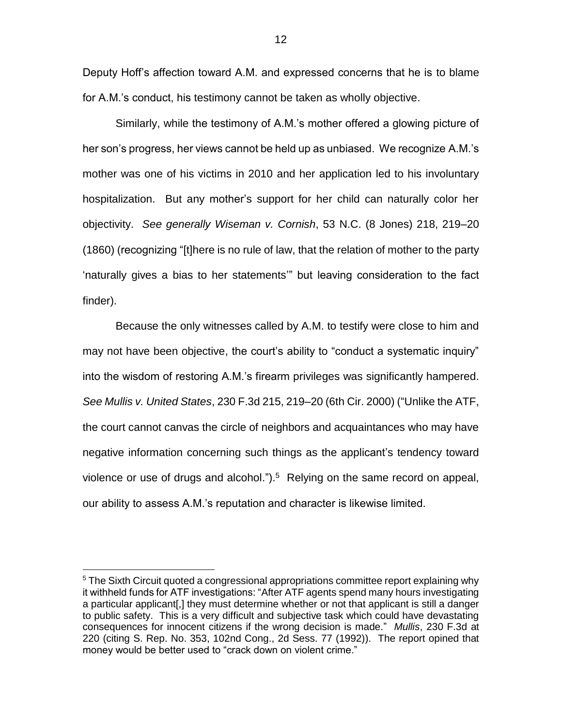Deputy Hoff's affection toward A.M. and expressed concerns that he is to blame for A.M.'s conduct, his testimony cannot be taken as wholly objective.

Similarly, while the testimony of A.M.'s mother offered a glowing picture of her son's progress, her views cannot be held up as unbiased. We recognize A.M.'s mother was one of his victims in 2010 and her application led to his involuntary hospitalization. But any mother's support for her child can naturally color her objectivity. *See generally Wiseman v. Cornish*, 53 N.C. (8 Jones) 218, 219–20 (1860) (recognizing "[t]here is no rule of law, that the relation of mother to the party 'naturally gives a bias to her statements'" but leaving consideration to the fact finder).

Because the only witnesses called by A.M. to testify were close to him and may not have been objective, the court's ability to "conduct a systematic inquiry" into the wisdom of restoring A.M.'s firearm privileges was significantly hampered. *See Mullis v. United States*, 230 F.3d 215, 219–20 (6th Cir. 2000) ("Unlike the ATF, the court cannot canvas the circle of neighbors and acquaintances who may have negative information concerning such things as the applicant's tendency toward violence or use of drugs and alcohol.").<sup>5</sup> Relying on the same record on appeal, our ability to assess A.M.'s reputation and character is likewise limited.

 $\overline{a}$ 

 $5$  The Sixth Circuit quoted a congressional appropriations committee report explaining why it withheld funds for ATF investigations: "After ATF agents spend many hours investigating a particular applicant[,] they must determine whether or not that applicant is still a danger to public safety. This is a very difficult and subjective task which could have devastating consequences for innocent citizens if the wrong decision is made." *Mullis*, 230 F.3d at 220 (citing S. Rep. No. 353, 102nd Cong., 2d Sess. 77 (1992)). The report opined that money would be better used to "crack down on violent crime."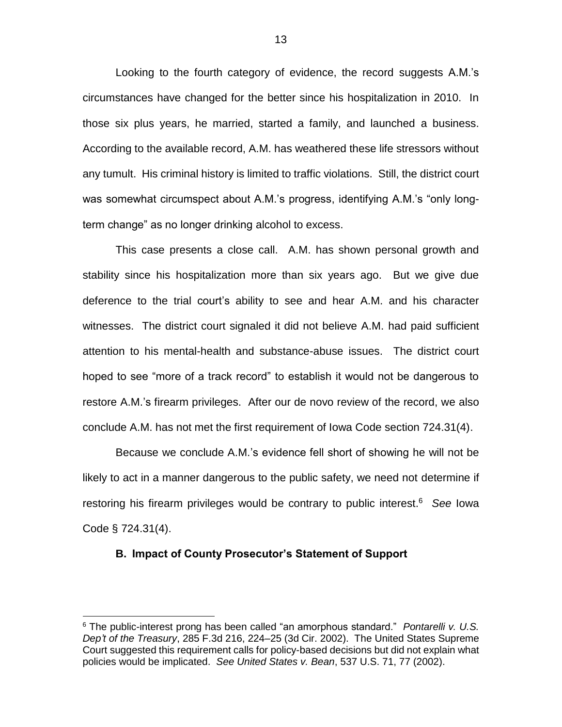Looking to the fourth category of evidence, the record suggests A.M.'s circumstances have changed for the better since his hospitalization in 2010. In those six plus years, he married, started a family, and launched a business. According to the available record, A.M. has weathered these life stressors without any tumult. His criminal history is limited to traffic violations. Still, the district court was somewhat circumspect about A.M.'s progress, identifying A.M.'s "only longterm change" as no longer drinking alcohol to excess.

This case presents a close call. A.M. has shown personal growth and stability since his hospitalization more than six years ago. But we give due deference to the trial court's ability to see and hear A.M. and his character witnesses. The district court signaled it did not believe A.M. had paid sufficient attention to his mental-health and substance-abuse issues. The district court hoped to see "more of a track record" to establish it would not be dangerous to restore A.M.'s firearm privileges. After our de novo review of the record, we also conclude A.M. has not met the first requirement of Iowa Code section 724.31(4).

Because we conclude A.M.'s evidence fell short of showing he will not be likely to act in a manner dangerous to the public safety, we need not determine if restoring his firearm privileges would be contrary to public interest.<sup>6</sup> *See* Iowa Code § 724.31(4).

#### **B. Impact of County Prosecutor's Statement of Support**

 $\overline{a}$ 

<sup>6</sup> The public-interest prong has been called "an amorphous standard." *Pontarelli v. U.S. Dep't of the Treasury*, 285 F.3d 216, 224–25 (3d Cir. 2002). The United States Supreme Court suggested this requirement calls for policy-based decisions but did not explain what policies would be implicated. *See United States v. Bean*, 537 U.S. 71, 77 (2002).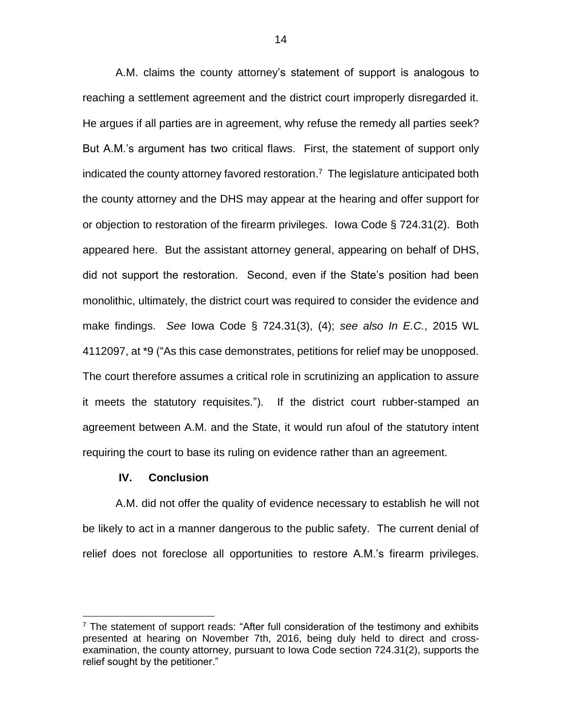A.M. claims the county attorney's statement of support is analogous to reaching a settlement agreement and the district court improperly disregarded it. He argues if all parties are in agreement, why refuse the remedy all parties seek? But A.M.'s argument has two critical flaws. First, the statement of support only indicated the county attorney favored restoration. 7 The legislature anticipated both the county attorney and the DHS may appear at the hearing and offer support for or objection to restoration of the firearm privileges. Iowa Code § 724.31(2). Both appeared here. But the assistant attorney general, appearing on behalf of DHS, did not support the restoration. Second, even if the State's position had been monolithic, ultimately, the district court was required to consider the evidence and make findings. *See* Iowa Code § 724.31(3), (4); *see also In E.C.*, 2015 WL 4112097, at \*9 ("As this case demonstrates, petitions for relief may be unopposed. The court therefore assumes a critical role in scrutinizing an application to assure it meets the statutory requisites."). If the district court rubber-stamped an agreement between A.M. and the State, it would run afoul of the statutory intent requiring the court to base its ruling on evidence rather than an agreement.

### **IV. Conclusion**

 $\overline{a}$ 

A.M. did not offer the quality of evidence necessary to establish he will not be likely to act in a manner dangerous to the public safety. The current denial of relief does not foreclose all opportunities to restore A.M.'s firearm privileges.

 $7$  The statement of support reads: "After full consideration of the testimony and exhibits presented at hearing on November 7th, 2016, being duly held to direct and crossexamination, the county attorney, pursuant to Iowa Code section 724.31(2), supports the relief sought by the petitioner."